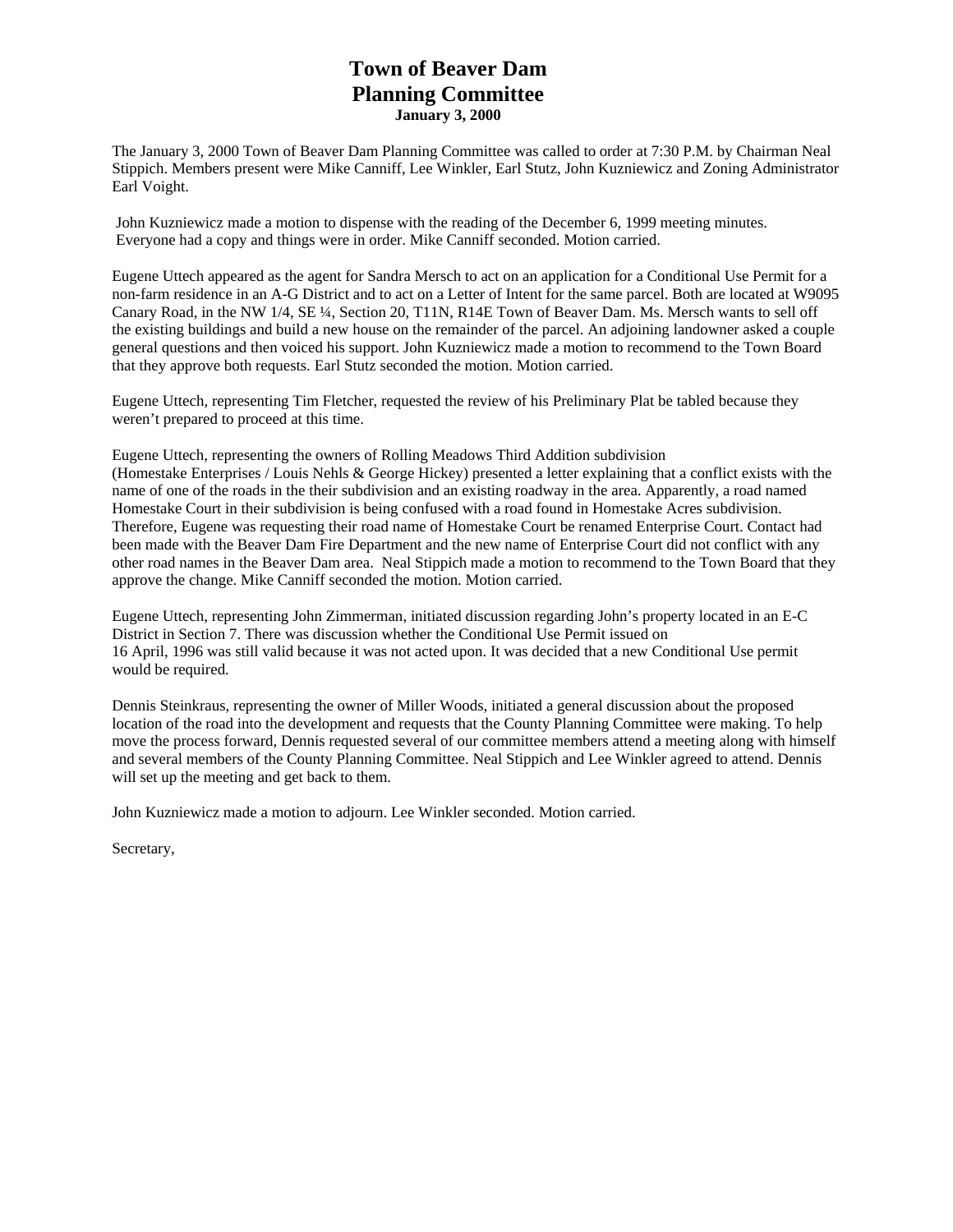# **Town of Beaver Dam Planning Committee January 3, 2000**

The January 3, 2000 Town of Beaver Dam Planning Committee was called to order at 7:30 P.M. by Chairman Neal Stippich. Members present were Mike Canniff, Lee Winkler, Earl Stutz, John Kuzniewicz and Zoning Administrator Earl Voight.

 John Kuzniewicz made a motion to dispense with the reading of the December 6, 1999 meeting minutes. Everyone had a copy and things were in order. Mike Canniff seconded. Motion carried.

Eugene Uttech appeared as the agent for Sandra Mersch to act on an application for a Conditional Use Permit for a non-farm residence in an A-G District and to act on a Letter of Intent for the same parcel. Both are located at W9095 Canary Road, in the NW 1/4, SE ¼, Section 20, T11N, R14E Town of Beaver Dam. Ms. Mersch wants to sell off the existing buildings and build a new house on the remainder of the parcel. An adjoining landowner asked a couple general questions and then voiced his support. John Kuzniewicz made a motion to recommend to the Town Board that they approve both requests. Earl Stutz seconded the motion. Motion carried.

Eugene Uttech, representing Tim Fletcher, requested the review of his Preliminary Plat be tabled because they weren't prepared to proceed at this time.

Eugene Uttech, representing the owners of Rolling Meadows Third Addition subdivision (Homestake Enterprises / Louis Nehls & George Hickey) presented a letter explaining that a conflict exists with the name of one of the roads in the their subdivision and an existing roadway in the area. Apparently, a road named Homestake Court in their subdivision is being confused with a road found in Homestake Acres subdivision. Therefore, Eugene was requesting their road name of Homestake Court be renamed Enterprise Court. Contact had been made with the Beaver Dam Fire Department and the new name of Enterprise Court did not conflict with any other road names in the Beaver Dam area. Neal Stippich made a motion to recommend to the Town Board that they approve the change. Mike Canniff seconded the motion. Motion carried.

Eugene Uttech, representing John Zimmerman, initiated discussion regarding John's property located in an E-C District in Section 7. There was discussion whether the Conditional Use Permit issued on 16 April, 1996 was still valid because it was not acted upon. It was decided that a new Conditional Use permit would be required.

Dennis Steinkraus, representing the owner of Miller Woods, initiated a general discussion about the proposed location of the road into the development and requests that the County Planning Committee were making. To help move the process forward, Dennis requested several of our committee members attend a meeting along with himself and several members of the County Planning Committee. Neal Stippich and Lee Winkler agreed to attend. Dennis will set up the meeting and get back to them.

John Kuzniewicz made a motion to adjourn. Lee Winkler seconded. Motion carried.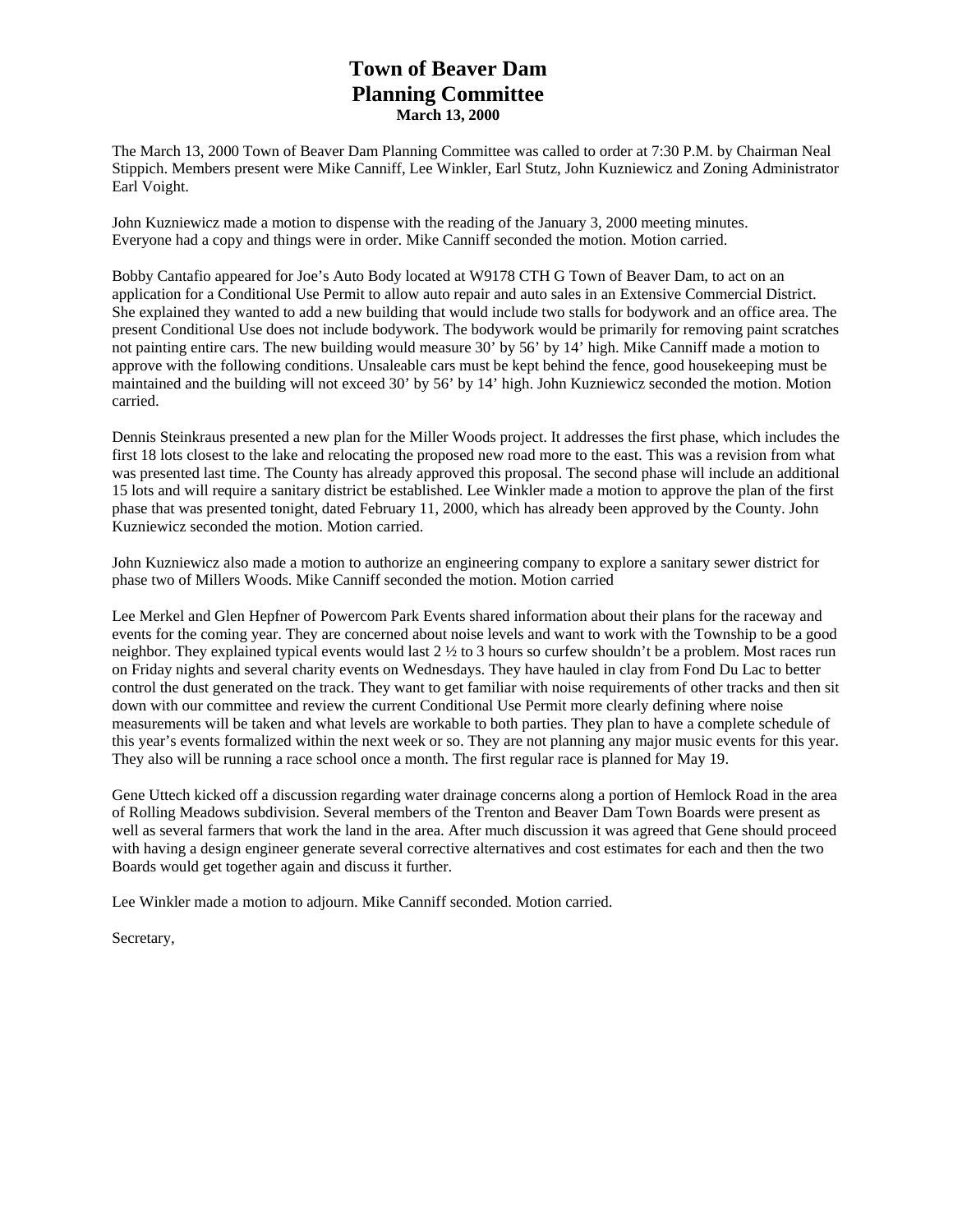# **Town of Beaver Dam Planning Committee March 13, 2000**

The March 13, 2000 Town of Beaver Dam Planning Committee was called to order at 7:30 P.M. by Chairman Neal Stippich. Members present were Mike Canniff, Lee Winkler, Earl Stutz, John Kuzniewicz and Zoning Administrator Earl Voight.

John Kuzniewicz made a motion to dispense with the reading of the January 3, 2000 meeting minutes. Everyone had a copy and things were in order. Mike Canniff seconded the motion. Motion carried.

Bobby Cantafio appeared for Joe's Auto Body located at W9178 CTH G Town of Beaver Dam, to act on an application for a Conditional Use Permit to allow auto repair and auto sales in an Extensive Commercial District. She explained they wanted to add a new building that would include two stalls for bodywork and an office area. The present Conditional Use does not include bodywork. The bodywork would be primarily for removing paint scratches not painting entire cars. The new building would measure 30' by 56' by 14' high. Mike Canniff made a motion to approve with the following conditions. Unsaleable cars must be kept behind the fence, good housekeeping must be maintained and the building will not exceed 30' by 56' by 14' high. John Kuzniewicz seconded the motion. Motion carried.

Dennis Steinkraus presented a new plan for the Miller Woods project. It addresses the first phase, which includes the first 18 lots closest to the lake and relocating the proposed new road more to the east. This was a revision from what was presented last time. The County has already approved this proposal. The second phase will include an additional 15 lots and will require a sanitary district be established. Lee Winkler made a motion to approve the plan of the first phase that was presented tonight, dated February 11, 2000, which has already been approved by the County. John Kuzniewicz seconded the motion. Motion carried.

John Kuzniewicz also made a motion to authorize an engineering company to explore a sanitary sewer district for phase two of Millers Woods. Mike Canniff seconded the motion. Motion carried

Lee Merkel and Glen Hepfner of Powercom Park Events shared information about their plans for the raceway and events for the coming year. They are concerned about noise levels and want to work with the Township to be a good neighbor. They explained typical events would last 2 ½ to 3 hours so curfew shouldn't be a problem. Most races run on Friday nights and several charity events on Wednesdays. They have hauled in clay from Fond Du Lac to better control the dust generated on the track. They want to get familiar with noise requirements of other tracks and then sit down with our committee and review the current Conditional Use Permit more clearly defining where noise measurements will be taken and what levels are workable to both parties. They plan to have a complete schedule of this year's events formalized within the next week or so. They are not planning any major music events for this year. They also will be running a race school once a month. The first regular race is planned for May 19.

Gene Uttech kicked off a discussion regarding water drainage concerns along a portion of Hemlock Road in the area of Rolling Meadows subdivision. Several members of the Trenton and Beaver Dam Town Boards were present as well as several farmers that work the land in the area. After much discussion it was agreed that Gene should proceed with having a design engineer generate several corrective alternatives and cost estimates for each and then the two Boards would get together again and discuss it further.

Lee Winkler made a motion to adjourn. Mike Canniff seconded. Motion carried.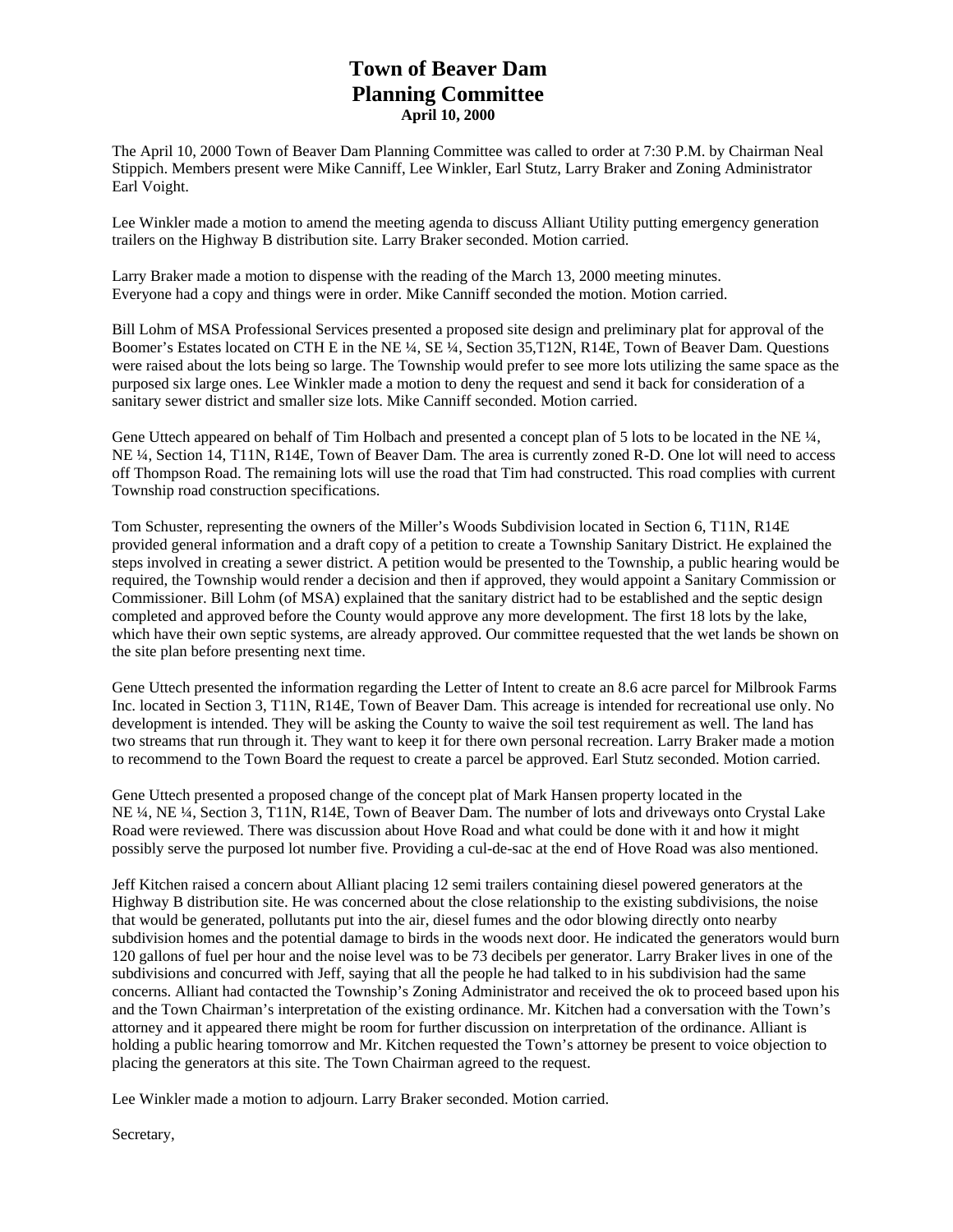# **Town of Beaver Dam Planning Committee April 10, 2000**

The April 10, 2000 Town of Beaver Dam Planning Committee was called to order at 7:30 P.M. by Chairman Neal Stippich. Members present were Mike Canniff, Lee Winkler, Earl Stutz, Larry Braker and Zoning Administrator Earl Voight.

Lee Winkler made a motion to amend the meeting agenda to discuss Alliant Utility putting emergency generation trailers on the Highway B distribution site. Larry Braker seconded. Motion carried.

Larry Braker made a motion to dispense with the reading of the March 13, 2000 meeting minutes. Everyone had a copy and things were in order. Mike Canniff seconded the motion. Motion carried.

Bill Lohm of MSA Professional Services presented a proposed site design and preliminary plat for approval of the Boomer's Estates located on CTH E in the NE ¼, SE ¼, Section 35,T12N, R14E, Town of Beaver Dam. Questions were raised about the lots being so large. The Township would prefer to see more lots utilizing the same space as the purposed six large ones. Lee Winkler made a motion to deny the request and send it back for consideration of a sanitary sewer district and smaller size lots. Mike Canniff seconded. Motion carried.

Gene Uttech appeared on behalf of Tim Holbach and presented a concept plan of 5 lots to be located in the NE  $\frac{1}{4}$ , NE ¼, Section 14, T11N, R14E, Town of Beaver Dam. The area is currently zoned R-D. One lot will need to access off Thompson Road. The remaining lots will use the road that Tim had constructed. This road complies with current Township road construction specifications.

Tom Schuster, representing the owners of the Miller's Woods Subdivision located in Section 6, T11N, R14E provided general information and a draft copy of a petition to create a Township Sanitary District. He explained the steps involved in creating a sewer district. A petition would be presented to the Township, a public hearing would be required, the Township would render a decision and then if approved, they would appoint a Sanitary Commission or Commissioner. Bill Lohm (of MSA) explained that the sanitary district had to be established and the septic design completed and approved before the County would approve any more development. The first 18 lots by the lake, which have their own septic systems, are already approved. Our committee requested that the wet lands be shown on the site plan before presenting next time.

Gene Uttech presented the information regarding the Letter of Intent to create an 8.6 acre parcel for Milbrook Farms Inc. located in Section 3, T11N, R14E, Town of Beaver Dam. This acreage is intended for recreational use only. No development is intended. They will be asking the County to waive the soil test requirement as well. The land has two streams that run through it. They want to keep it for there own personal recreation. Larry Braker made a motion to recommend to the Town Board the request to create a parcel be approved. Earl Stutz seconded. Motion carried.

Gene Uttech presented a proposed change of the concept plat of Mark Hansen property located in the NE ¼, NE ¼, Section 3, T11N, R14E, Town of Beaver Dam. The number of lots and driveways onto Crystal Lake Road were reviewed. There was discussion about Hove Road and what could be done with it and how it might possibly serve the purposed lot number five. Providing a cul-de-sac at the end of Hove Road was also mentioned.

Jeff Kitchen raised a concern about Alliant placing 12 semi trailers containing diesel powered generators at the Highway B distribution site. He was concerned about the close relationship to the existing subdivisions, the noise that would be generated, pollutants put into the air, diesel fumes and the odor blowing directly onto nearby subdivision homes and the potential damage to birds in the woods next door. He indicated the generators would burn 120 gallons of fuel per hour and the noise level was to be 73 decibels per generator. Larry Braker lives in one of the subdivisions and concurred with Jeff, saying that all the people he had talked to in his subdivision had the same concerns. Alliant had contacted the Township's Zoning Administrator and received the ok to proceed based upon his and the Town Chairman's interpretation of the existing ordinance. Mr. Kitchen had a conversation with the Town's attorney and it appeared there might be room for further discussion on interpretation of the ordinance. Alliant is holding a public hearing tomorrow and Mr. Kitchen requested the Town's attorney be present to voice objection to placing the generators at this site. The Town Chairman agreed to the request.

Lee Winkler made a motion to adjourn. Larry Braker seconded. Motion carried.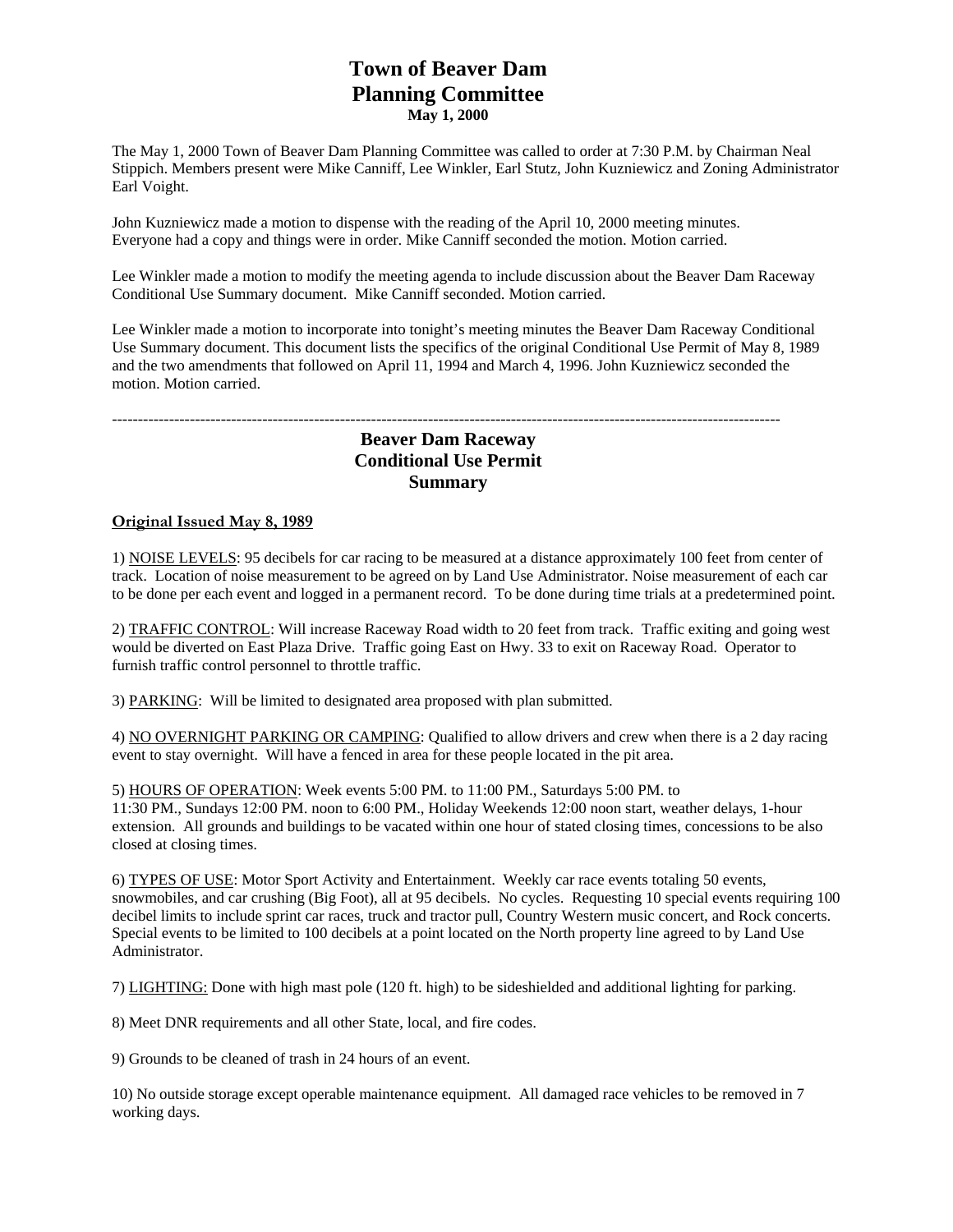# **Town of Beaver Dam Planning Committee May 1, 2000**

The May 1, 2000 Town of Beaver Dam Planning Committee was called to order at 7:30 P.M. by Chairman Neal Stippich. Members present were Mike Canniff, Lee Winkler, Earl Stutz, John Kuzniewicz and Zoning Administrator Earl Voight.

John Kuzniewicz made a motion to dispense with the reading of the April 10, 2000 meeting minutes. Everyone had a copy and things were in order. Mike Canniff seconded the motion. Motion carried.

Lee Winkler made a motion to modify the meeting agenda to include discussion about the Beaver Dam Raceway Conditional Use Summary document. Mike Canniff seconded. Motion carried.

Lee Winkler made a motion to incorporate into tonight's meeting minutes the Beaver Dam Raceway Conditional Use Summary document. This document lists the specifics of the original Conditional Use Permit of May 8, 1989 and the two amendments that followed on April 11, 1994 and March 4, 1996. John Kuzniewicz seconded the motion. Motion carried.

#### --------------------------------------------------------------------------------------------------------------------------------- **Beaver Dam Raceway**

### **Conditional Use Permit**

### **Summary**

### **Original Issued May 8, 1989**

1) NOISE LEVELS: 95 decibels for car racing to be measured at a distance approximately 100 feet from center of track. Location of noise measurement to be agreed on by Land Use Administrator. Noise measurement of each car to be done per each event and logged in a permanent record. To be done during time trials at a predetermined point.

2) TRAFFIC CONTROL: Will increase Raceway Road width to 20 feet from track. Traffic exiting and going west would be diverted on East Plaza Drive. Traffic going East on Hwy. 33 to exit on Raceway Road. Operator to furnish traffic control personnel to throttle traffic.

3) PARKING: Will be limited to designated area proposed with plan submitted.

4) NO OVERNIGHT PARKING OR CAMPING: Qualified to allow drivers and crew when there is a 2 day racing event to stay overnight. Will have a fenced in area for these people located in the pit area.

5) HOURS OF OPERATION: Week events 5:00 PM. to 11:00 PM., Saturdays 5:00 PM. to 11:30 PM., Sundays 12:00 PM. noon to 6:00 PM., Holiday Weekends 12:00 noon start, weather delays, 1-hour extension. All grounds and buildings to be vacated within one hour of stated closing times, concessions to be also closed at closing times.

6) TYPES OF USE: Motor Sport Activity and Entertainment. Weekly car race events totaling 50 events, snowmobiles, and car crushing (Big Foot), all at 95 decibels. No cycles. Requesting 10 special events requiring 100 decibel limits to include sprint car races, truck and tractor pull, Country Western music concert, and Rock concerts. Special events to be limited to 100 decibels at a point located on the North property line agreed to by Land Use Administrator.

7) LIGHTING: Done with high mast pole (120 ft. high) to be sideshielded and additional lighting for parking.

8) Meet DNR requirements and all other State, local, and fire codes.

9) Grounds to be cleaned of trash in 24 hours of an event.

10) No outside storage except operable maintenance equipment. All damaged race vehicles to be removed in 7 working days.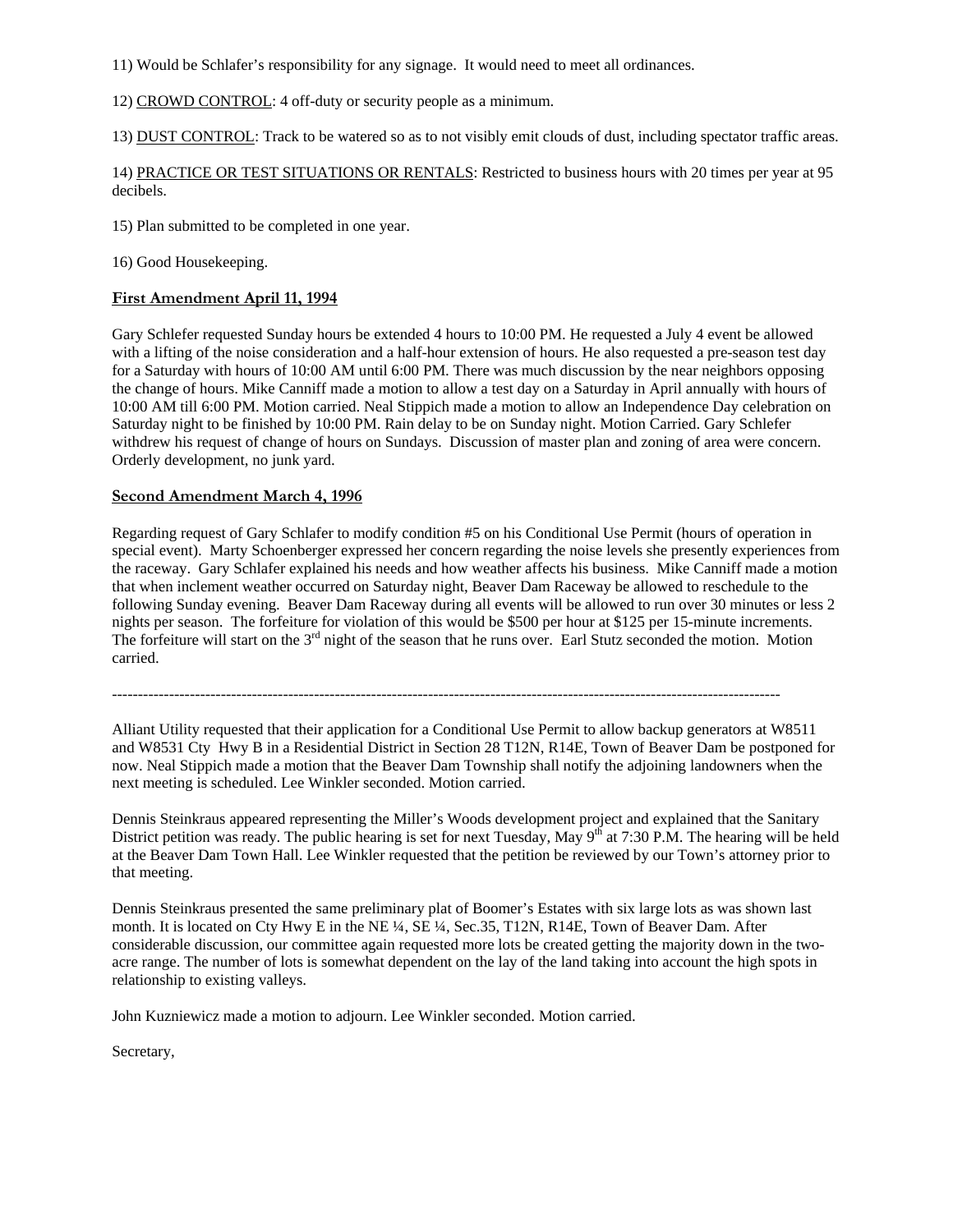11) Would be Schlafer's responsibility for any signage. It would need to meet all ordinances.

12) CROWD CONTROL: 4 off-duty or security people as a minimum.

13) DUST CONTROL: Track to be watered so as to not visibly emit clouds of dust, including spectator traffic areas.

14) PRACTICE OR TEST SITUATIONS OR RENTALS: Restricted to business hours with 20 times per year at 95 decibels.

15) Plan submitted to be completed in one year.

16) Good Housekeeping.

#### **First Amendment April 11, 1994**

Gary Schlefer requested Sunday hours be extended 4 hours to 10:00 PM. He requested a July 4 event be allowed with a lifting of the noise consideration and a half-hour extension of hours. He also requested a pre-season test day for a Saturday with hours of 10:00 AM until 6:00 PM. There was much discussion by the near neighbors opposing the change of hours. Mike Canniff made a motion to allow a test day on a Saturday in April annually with hours of 10:00 AM till 6:00 PM. Motion carried. Neal Stippich made a motion to allow an Independence Day celebration on Saturday night to be finished by 10:00 PM. Rain delay to be on Sunday night. Motion Carried. Gary Schlefer withdrew his request of change of hours on Sundays. Discussion of master plan and zoning of area were concern. Orderly development, no junk yard.

#### **Second Amendment March 4, 1996**

Regarding request of Gary Schlafer to modify condition #5 on his Conditional Use Permit (hours of operation in special event). Marty Schoenberger expressed her concern regarding the noise levels she presently experiences from the raceway. Gary Schlafer explained his needs and how weather affects his business. Mike Canniff made a motion that when inclement weather occurred on Saturday night, Beaver Dam Raceway be allowed to reschedule to the following Sunday evening. Beaver Dam Raceway during all events will be allowed to run over 30 minutes or less 2 nights per season. The forfeiture for violation of this would be \$500 per hour at \$125 per 15-minute increments. The forfeiture will start on the  $3<sup>rd</sup>$  night of the season that he runs over. Earl Stutz seconded the motion. Motion carried.

---------------------------------------------------------------------------------------------------------------------------------

Alliant Utility requested that their application for a Conditional Use Permit to allow backup generators at W8511 and W8531 Cty Hwy B in a Residential District in Section 28 T12N, R14E, Town of Beaver Dam be postponed for now. Neal Stippich made a motion that the Beaver Dam Township shall notify the adjoining landowners when the next meeting is scheduled. Lee Winkler seconded. Motion carried.

Dennis Steinkraus appeared representing the Miller's Woods development project and explained that the Sanitary District petition was ready. The public hearing is set for next Tuesday, May 9<sup>th</sup> at 7:30 P.M. The hearing will be held at the Beaver Dam Town Hall. Lee Winkler requested that the petition be reviewed by our Town's attorney prior to that meeting.

Dennis Steinkraus presented the same preliminary plat of Boomer's Estates with six large lots as was shown last month. It is located on Cty Hwy E in the NE ¼, SE ¼, Sec.35, T12N, R14E, Town of Beaver Dam. After considerable discussion, our committee again requested more lots be created getting the majority down in the twoacre range. The number of lots is somewhat dependent on the lay of the land taking into account the high spots in relationship to existing valleys.

John Kuzniewicz made a motion to adjourn. Lee Winkler seconded. Motion carried.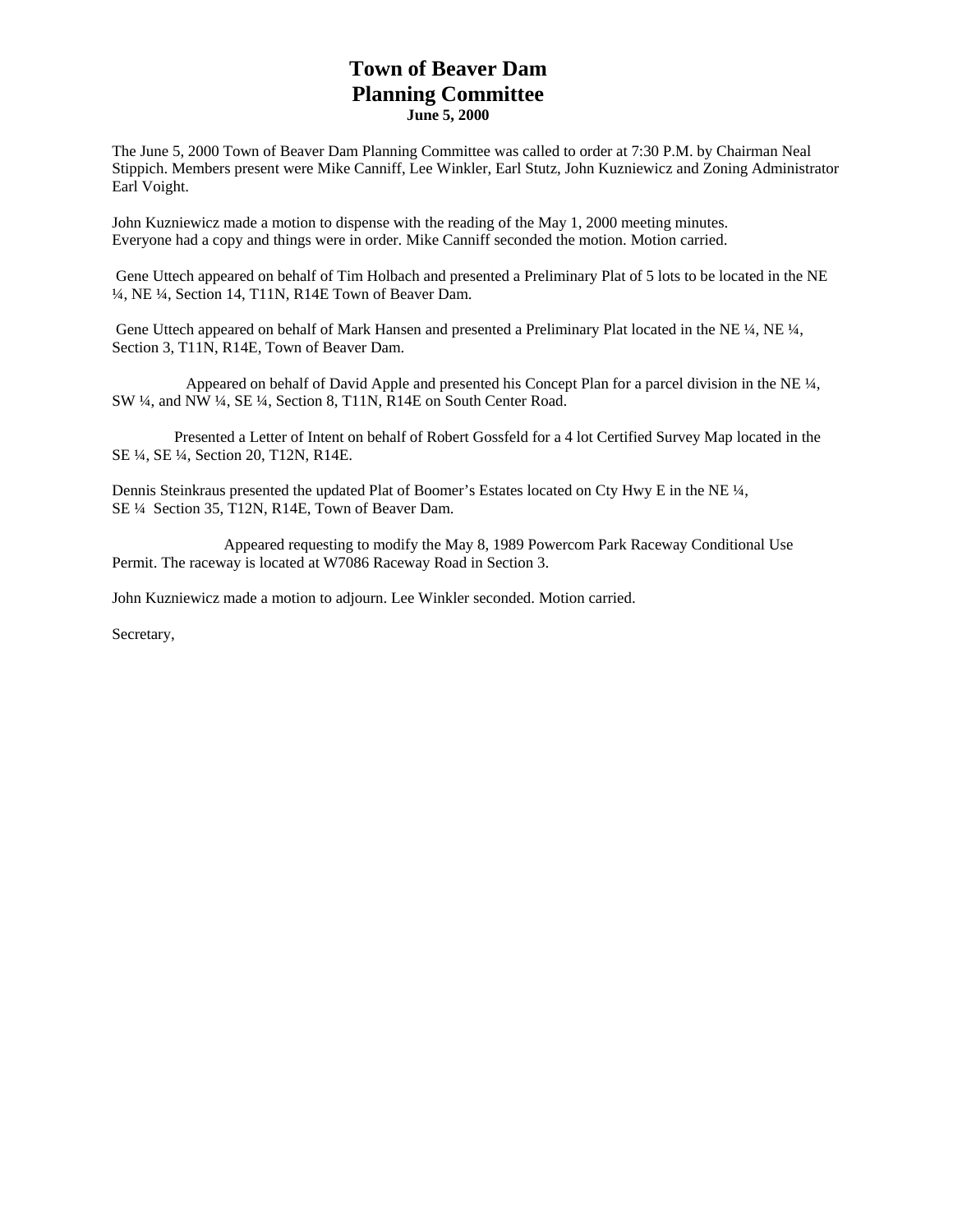# **Town of Beaver Dam Planning Committee June 5, 2000**

The June 5, 2000 Town of Beaver Dam Planning Committee was called to order at 7:30 P.M. by Chairman Neal Stippich. Members present were Mike Canniff, Lee Winkler, Earl Stutz, John Kuzniewicz and Zoning Administrator Earl Voight.

John Kuzniewicz made a motion to dispense with the reading of the May 1, 2000 meeting minutes. Everyone had a copy and things were in order. Mike Canniff seconded the motion. Motion carried.

 Gene Uttech appeared on behalf of Tim Holbach and presented a Preliminary Plat of 5 lots to be located in the NE ¼, NE ¼, Section 14, T11N, R14E Town of Beaver Dam.

Gene Uttech appeared on behalf of Mark Hansen and presented a Preliminary Plat located in the NE 1/4, NE 1/4, Section 3, T11N, R14E, Town of Beaver Dam.

 Appeared on behalf of David Apple and presented his Concept Plan for a parcel division in the NE ¼, SW ¼, and NW ¼, SE ¼, Section 8, T11N, R14E on South Center Road.

 Presented a Letter of Intent on behalf of Robert Gossfeld for a 4 lot Certified Survey Map located in the SE ¼, SE ¼, Section 20, T12N, R14E.

Dennis Steinkraus presented the updated Plat of Boomer's Estates located on Cty Hwy E in the NE ¼, SE ¼ Section 35, T12N, R14E, Town of Beaver Dam.

 Appeared requesting to modify the May 8, 1989 Powercom Park Raceway Conditional Use Permit. The raceway is located at W7086 Raceway Road in Section 3.

John Kuzniewicz made a motion to adjourn. Lee Winkler seconded. Motion carried.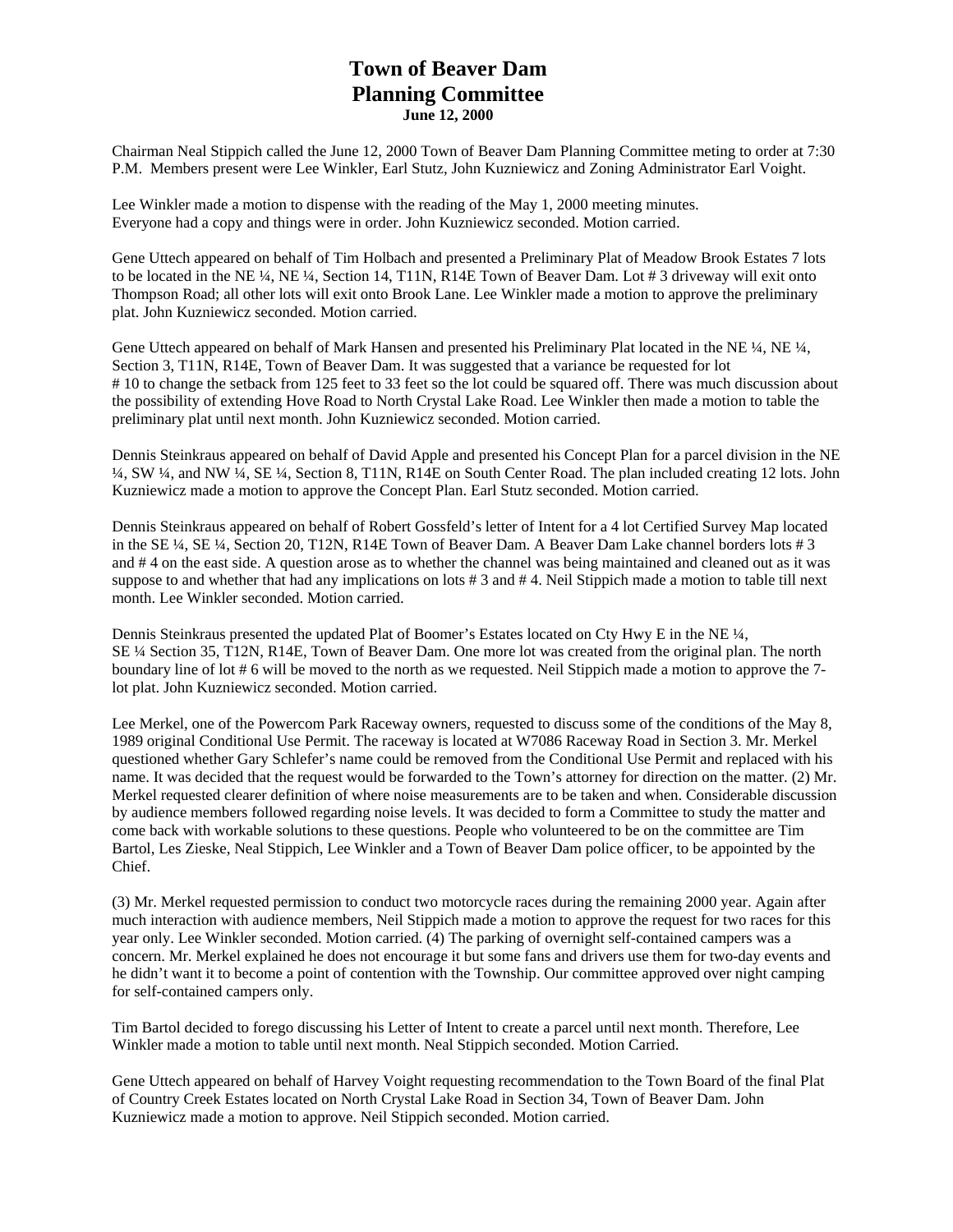# **Town of Beaver Dam Planning Committee June 12, 2000**

Chairman Neal Stippich called the June 12, 2000 Town of Beaver Dam Planning Committee meting to order at 7:30 P.M. Members present were Lee Winkler, Earl Stutz, John Kuzniewicz and Zoning Administrator Earl Voight.

Lee Winkler made a motion to dispense with the reading of the May 1, 2000 meeting minutes. Everyone had a copy and things were in order. John Kuzniewicz seconded. Motion carried.

Gene Uttech appeared on behalf of Tim Holbach and presented a Preliminary Plat of Meadow Brook Estates 7 lots to be located in the NE ¼, NE ¼, Section 14, T11N, R14E Town of Beaver Dam. Lot # 3 driveway will exit onto Thompson Road; all other lots will exit onto Brook Lane. Lee Winkler made a motion to approve the preliminary plat. John Kuzniewicz seconded. Motion carried.

Gene Uttech appeared on behalf of Mark Hansen and presented his Preliminary Plat located in the NE ¼, NE ¼, Section 3, T11N, R14E, Town of Beaver Dam. It was suggested that a variance be requested for lot # 10 to change the setback from 125 feet to 33 feet so the lot could be squared off. There was much discussion about the possibility of extending Hove Road to North Crystal Lake Road. Lee Winkler then made a motion to table the preliminary plat until next month. John Kuzniewicz seconded. Motion carried.

Dennis Steinkraus appeared on behalf of David Apple and presented his Concept Plan for a parcel division in the NE ¼, SW ¼, and NW ¼, SE ¼, Section 8, T11N, R14E on South Center Road. The plan included creating 12 lots. John Kuzniewicz made a motion to approve the Concept Plan. Earl Stutz seconded. Motion carried.

Dennis Steinkraus appeared on behalf of Robert Gossfeld's letter of Intent for a 4 lot Certified Survey Map located in the SE ¼, SE ¼, Section 20, T12N, R14E Town of Beaver Dam. A Beaver Dam Lake channel borders lots # 3 and # 4 on the east side. A question arose as to whether the channel was being maintained and cleaned out as it was suppose to and whether that had any implications on lots # 3 and # 4. Neil Stippich made a motion to table till next month. Lee Winkler seconded. Motion carried.

Dennis Steinkraus presented the updated Plat of Boomer's Estates located on Cty Hwy E in the NE ¼, SE ¼ Section 35, T12N, R14E, Town of Beaver Dam. One more lot was created from the original plan. The north boundary line of lot # 6 will be moved to the north as we requested. Neil Stippich made a motion to approve the 7 lot plat. John Kuzniewicz seconded. Motion carried.

Lee Merkel, one of the Powercom Park Raceway owners, requested to discuss some of the conditions of the May 8, 1989 original Conditional Use Permit. The raceway is located at W7086 Raceway Road in Section 3. Mr. Merkel questioned whether Gary Schlefer's name could be removed from the Conditional Use Permit and replaced with his name. It was decided that the request would be forwarded to the Town's attorney for direction on the matter. (2) Mr. Merkel requested clearer definition of where noise measurements are to be taken and when. Considerable discussion by audience members followed regarding noise levels. It was decided to form a Committee to study the matter and come back with workable solutions to these questions. People who volunteered to be on the committee are Tim Bartol, Les Zieske, Neal Stippich, Lee Winkler and a Town of Beaver Dam police officer, to be appointed by the Chief.

(3) Mr. Merkel requested permission to conduct two motorcycle races during the remaining 2000 year. Again after much interaction with audience members, Neil Stippich made a motion to approve the request for two races for this year only. Lee Winkler seconded. Motion carried. (4) The parking of overnight self-contained campers was a concern. Mr. Merkel explained he does not encourage it but some fans and drivers use them for two-day events and he didn't want it to become a point of contention with the Township. Our committee approved over night camping for self-contained campers only.

Tim Bartol decided to forego discussing his Letter of Intent to create a parcel until next month. Therefore, Lee Winkler made a motion to table until next month. Neal Stippich seconded. Motion Carried.

Gene Uttech appeared on behalf of Harvey Voight requesting recommendation to the Town Board of the final Plat of Country Creek Estates located on North Crystal Lake Road in Section 34, Town of Beaver Dam. John Kuzniewicz made a motion to approve. Neil Stippich seconded. Motion carried.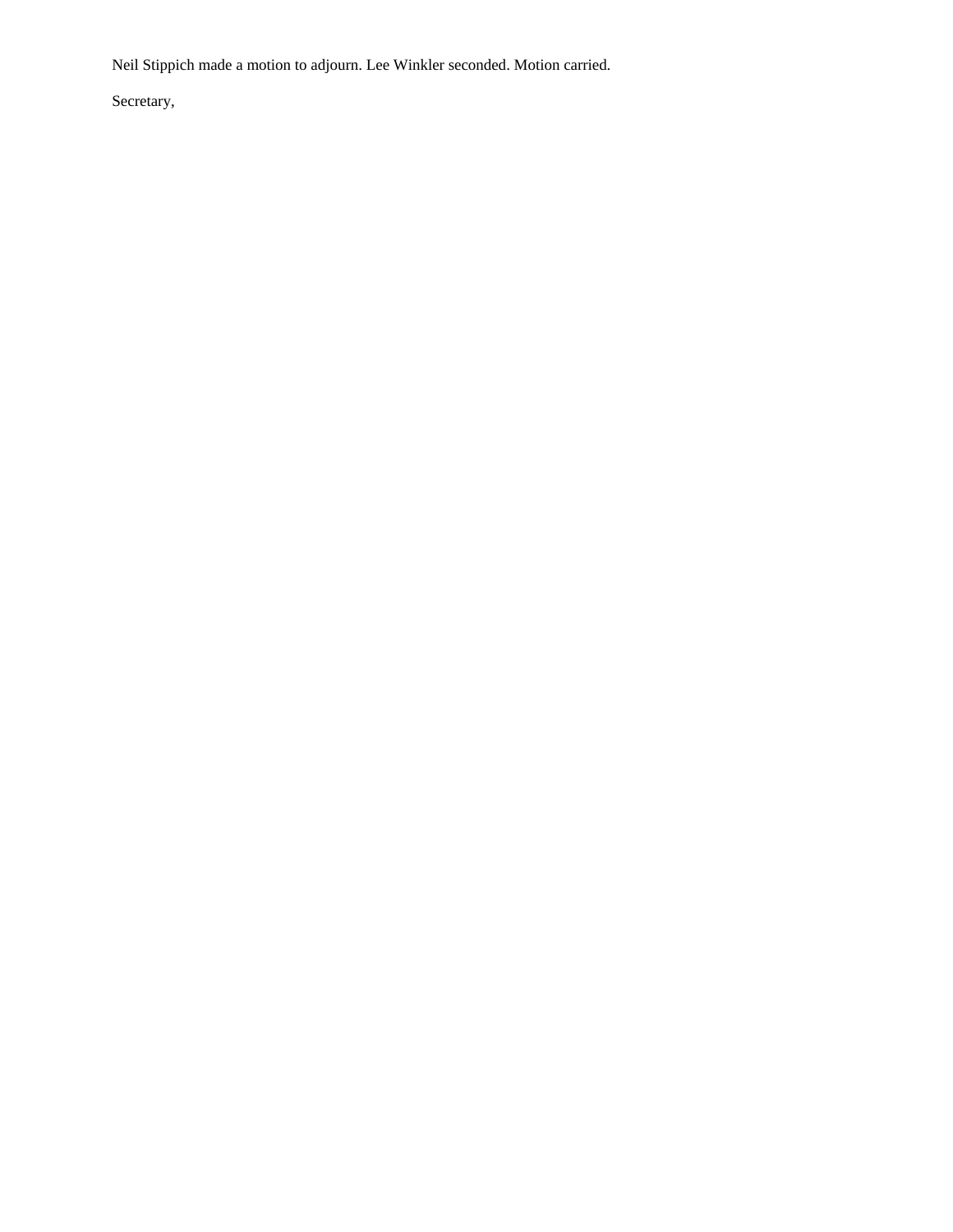Neil Stippich made a motion to adjourn. Lee Winkler seconded. Motion carried.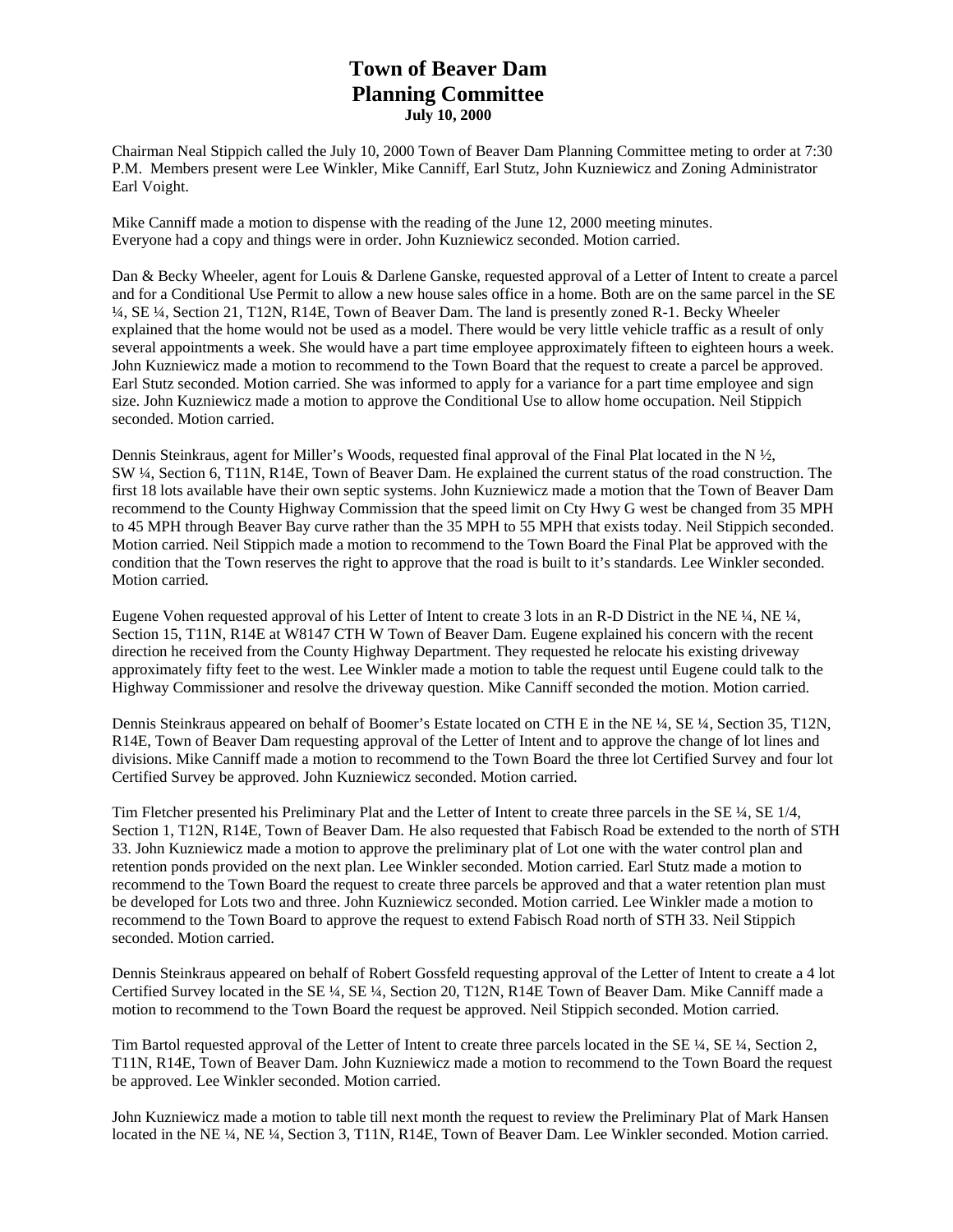### **Town of Beaver Dam Planning Committee July 10, 2000**

Chairman Neal Stippich called the July 10, 2000 Town of Beaver Dam Planning Committee meting to order at 7:30 P.M. Members present were Lee Winkler, Mike Canniff, Earl Stutz, John Kuzniewicz and Zoning Administrator Earl Voight.

Mike Canniff made a motion to dispense with the reading of the June 12, 2000 meeting minutes. Everyone had a copy and things were in order. John Kuzniewicz seconded. Motion carried.

Dan & Becky Wheeler, agent for Louis & Darlene Ganske, requested approval of a Letter of Intent to create a parcel and for a Conditional Use Permit to allow a new house sales office in a home. Both are on the same parcel in the SE ¼, SE ¼, Section 21, T12N, R14E, Town of Beaver Dam. The land is presently zoned R-1. Becky Wheeler explained that the home would not be used as a model. There would be very little vehicle traffic as a result of only several appointments a week. She would have a part time employee approximately fifteen to eighteen hours a week. John Kuzniewicz made a motion to recommend to the Town Board that the request to create a parcel be approved. Earl Stutz seconded. Motion carried. She was informed to apply for a variance for a part time employee and sign size. John Kuzniewicz made a motion to approve the Conditional Use to allow home occupation. Neil Stippich seconded. Motion carried.

Dennis Steinkraus, agent for Miller's Woods, requested final approval of the Final Plat located in the N  $\frac{1}{2}$ , SW ¼, Section 6, T11N, R14E, Town of Beaver Dam. He explained the current status of the road construction. The first 18 lots available have their own septic systems. John Kuzniewicz made a motion that the Town of Beaver Dam recommend to the County Highway Commission that the speed limit on Cty Hwy G west be changed from 35 MPH to 45 MPH through Beaver Bay curve rather than the 35 MPH to 55 MPH that exists today. Neil Stippich seconded. Motion carried. Neil Stippich made a motion to recommend to the Town Board the Final Plat be approved with the condition that the Town reserves the right to approve that the road is built to it's standards. Lee Winkler seconded. Motion carried.

Eugene Vohen requested approval of his Letter of Intent to create 3 lots in an R-D District in the NE ¼, NE ¼, Section 15, T11N, R14E at W8147 CTH W Town of Beaver Dam. Eugene explained his concern with the recent direction he received from the County Highway Department. They requested he relocate his existing driveway approximately fifty feet to the west. Lee Winkler made a motion to table the request until Eugene could talk to the Highway Commissioner and resolve the driveway question. Mike Canniff seconded the motion. Motion carried.

Dennis Steinkraus appeared on behalf of Boomer's Estate located on CTH E in the NE ¼, SE ¼, Section 35, T12N, R14E, Town of Beaver Dam requesting approval of the Letter of Intent and to approve the change of lot lines and divisions. Mike Canniff made a motion to recommend to the Town Board the three lot Certified Survey and four lot Certified Survey be approved. John Kuzniewicz seconded. Motion carried.

Tim Fletcher presented his Preliminary Plat and the Letter of Intent to create three parcels in the SE ¼, SE 1/4, Section 1, T12N, R14E, Town of Beaver Dam. He also requested that Fabisch Road be extended to the north of STH 33. John Kuzniewicz made a motion to approve the preliminary plat of Lot one with the water control plan and retention ponds provided on the next plan. Lee Winkler seconded. Motion carried. Earl Stutz made a motion to recommend to the Town Board the request to create three parcels be approved and that a water retention plan must be developed for Lots two and three. John Kuzniewicz seconded. Motion carried. Lee Winkler made a motion to recommend to the Town Board to approve the request to extend Fabisch Road north of STH 33. Neil Stippich seconded. Motion carried.

Dennis Steinkraus appeared on behalf of Robert Gossfeld requesting approval of the Letter of Intent to create a 4 lot Certified Survey located in the SE ¼, SE ¼, Section 20, T12N, R14E Town of Beaver Dam. Mike Canniff made a motion to recommend to the Town Board the request be approved. Neil Stippich seconded. Motion carried.

Tim Bartol requested approval of the Letter of Intent to create three parcels located in the SE ¼, SE ¼, Section 2, T11N, R14E, Town of Beaver Dam. John Kuzniewicz made a motion to recommend to the Town Board the request be approved. Lee Winkler seconded. Motion carried.

John Kuzniewicz made a motion to table till next month the request to review the Preliminary Plat of Mark Hansen located in the NE ¼, NE ¼, Section 3, T11N, R14E, Town of Beaver Dam. Lee Winkler seconded. Motion carried.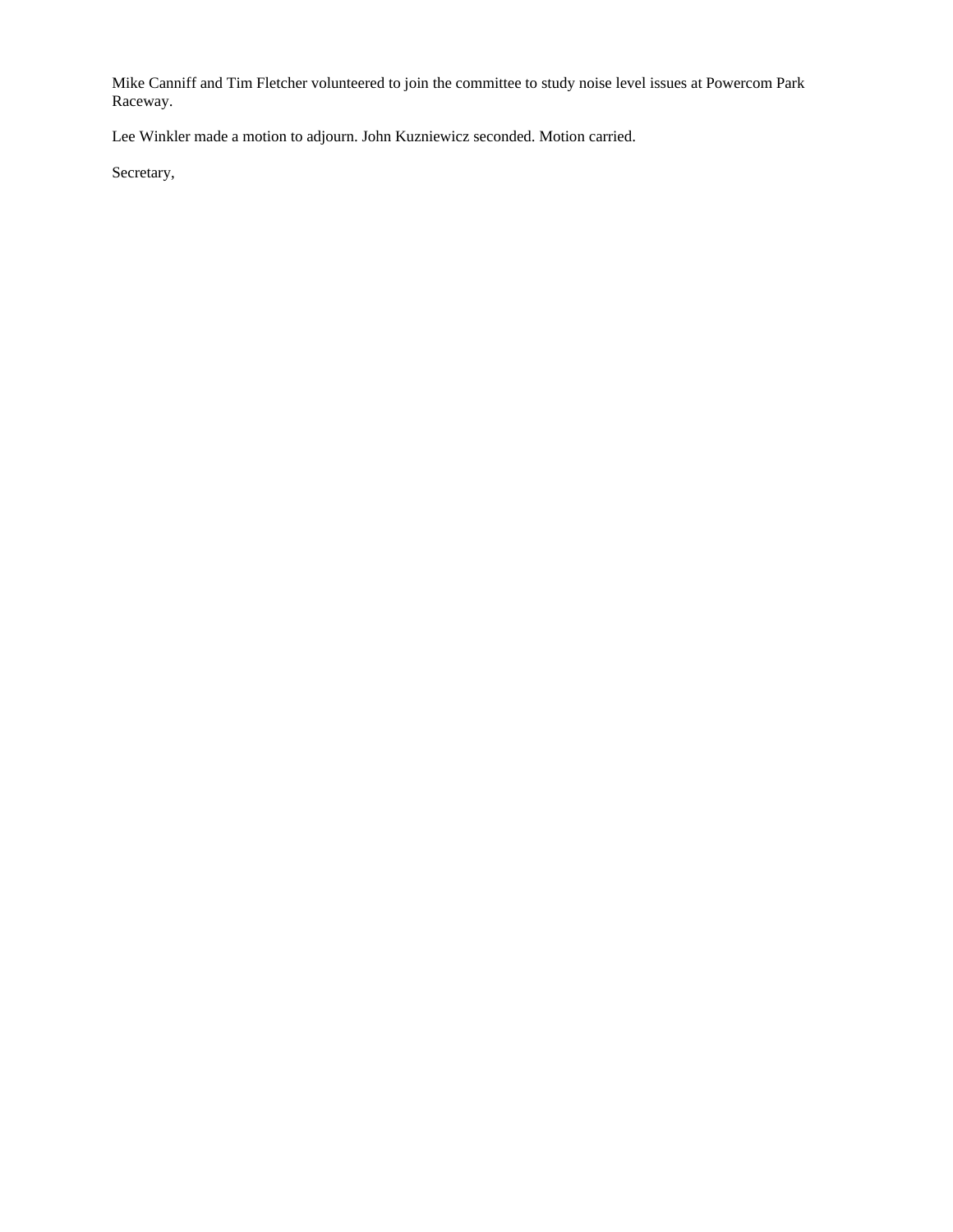Mike Canniff and Tim Fletcher volunteered to join the committee to study noise level issues at Powercom Park Raceway.

Lee Winkler made a motion to adjourn. John Kuzniewicz seconded. Motion carried.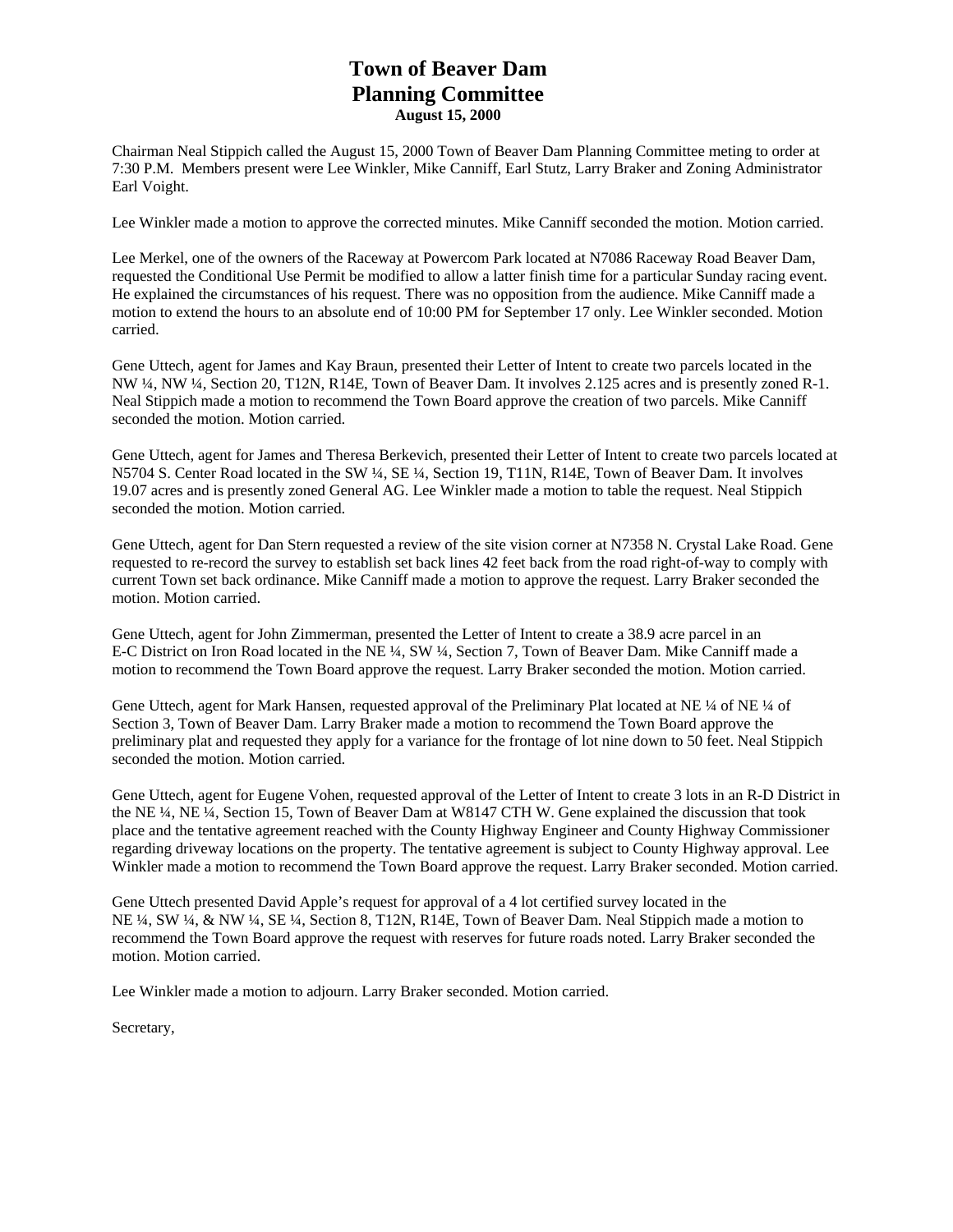# **Town of Beaver Dam Planning Committee August 15, 2000**

Chairman Neal Stippich called the August 15, 2000 Town of Beaver Dam Planning Committee meting to order at 7:30 P.M. Members present were Lee Winkler, Mike Canniff, Earl Stutz, Larry Braker and Zoning Administrator Earl Voight.

Lee Winkler made a motion to approve the corrected minutes. Mike Canniff seconded the motion. Motion carried.

Lee Merkel, one of the owners of the Raceway at Powercom Park located at N7086 Raceway Road Beaver Dam, requested the Conditional Use Permit be modified to allow a latter finish time for a particular Sunday racing event. He explained the circumstances of his request. There was no opposition from the audience. Mike Canniff made a motion to extend the hours to an absolute end of 10:00 PM for September 17 only. Lee Winkler seconded. Motion carried.

Gene Uttech, agent for James and Kay Braun, presented their Letter of Intent to create two parcels located in the NW ¼, NW ¼, Section 20, T12N, R14E, Town of Beaver Dam. It involves 2.125 acres and is presently zoned R-1. Neal Stippich made a motion to recommend the Town Board approve the creation of two parcels. Mike Canniff seconded the motion. Motion carried.

Gene Uttech, agent for James and Theresa Berkevich, presented their Letter of Intent to create two parcels located at N5704 S. Center Road located in the SW ¼, SE ¼, Section 19, T11N, R14E, Town of Beaver Dam. It involves 19.07 acres and is presently zoned General AG. Lee Winkler made a motion to table the request. Neal Stippich seconded the motion. Motion carried.

Gene Uttech, agent for Dan Stern requested a review of the site vision corner at N7358 N. Crystal Lake Road. Gene requested to re-record the survey to establish set back lines 42 feet back from the road right-of-way to comply with current Town set back ordinance. Mike Canniff made a motion to approve the request. Larry Braker seconded the motion. Motion carried.

Gene Uttech, agent for John Zimmerman, presented the Letter of Intent to create a 38.9 acre parcel in an E-C District on Iron Road located in the NE ¼, SW ¼, Section 7, Town of Beaver Dam. Mike Canniff made a motion to recommend the Town Board approve the request. Larry Braker seconded the motion. Motion carried.

Gene Uttech, agent for Mark Hansen, requested approval of the Preliminary Plat located at NE ¼ of NE ¼ of Section 3, Town of Beaver Dam. Larry Braker made a motion to recommend the Town Board approve the preliminary plat and requested they apply for a variance for the frontage of lot nine down to 50 feet. Neal Stippich seconded the motion. Motion carried.

Gene Uttech, agent for Eugene Vohen, requested approval of the Letter of Intent to create 3 lots in an R-D District in the NE ¼, NE ¼, Section 15, Town of Beaver Dam at W8147 CTH W. Gene explained the discussion that took place and the tentative agreement reached with the County Highway Engineer and County Highway Commissioner regarding driveway locations on the property. The tentative agreement is subject to County Highway approval. Lee Winkler made a motion to recommend the Town Board approve the request. Larry Braker seconded. Motion carried.

Gene Uttech presented David Apple's request for approval of a 4 lot certified survey located in the NE ¼, SW ¼, & NW ¼, SE ¼, Section 8, T12N, R14E, Town of Beaver Dam. Neal Stippich made a motion to recommend the Town Board approve the request with reserves for future roads noted. Larry Braker seconded the motion. Motion carried.

Lee Winkler made a motion to adjourn. Larry Braker seconded. Motion carried.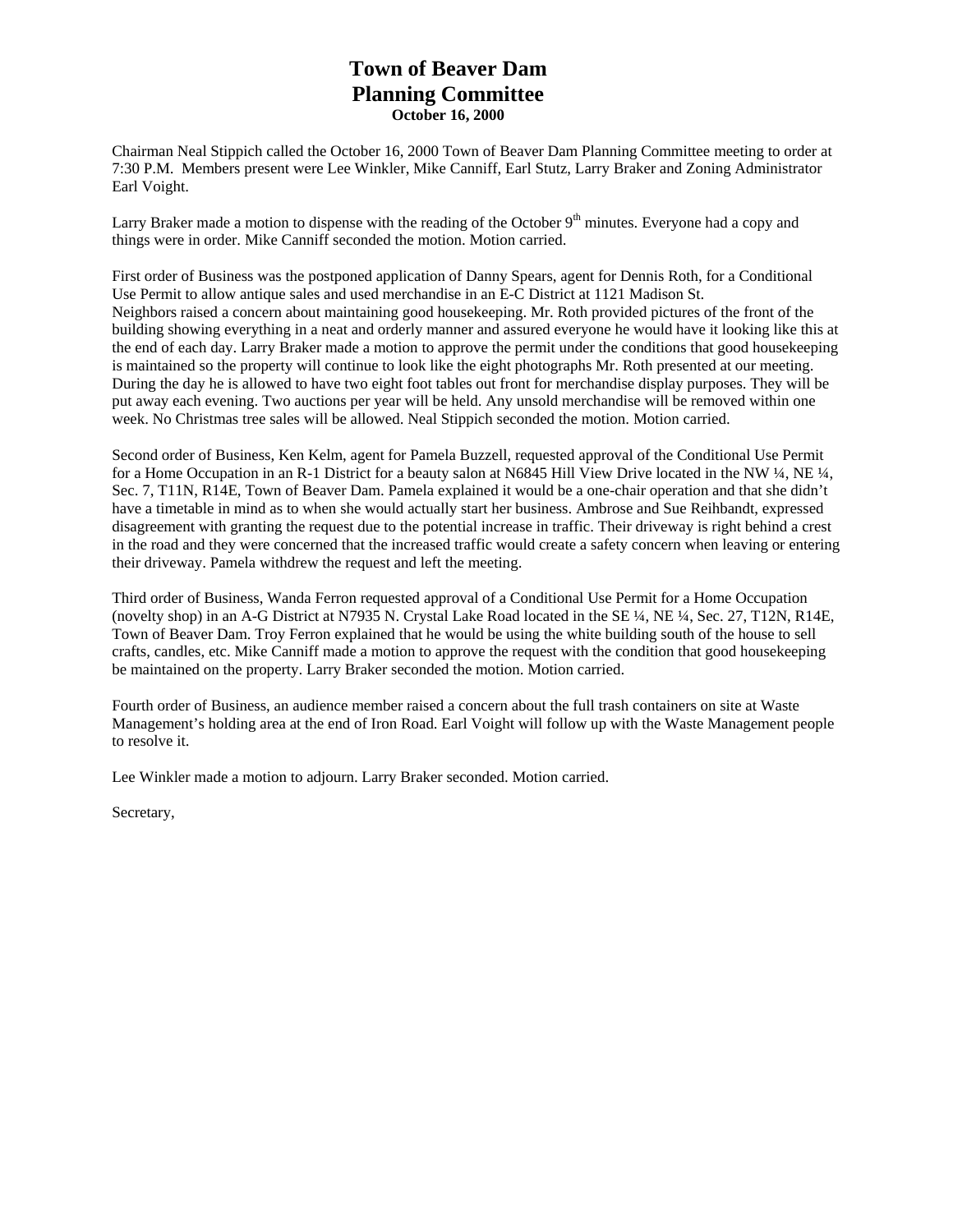# **Town of Beaver Dam Planning Committee October 16, 2000**

Chairman Neal Stippich called the October 16, 2000 Town of Beaver Dam Planning Committee meeting to order at 7:30 P.M. Members present were Lee Winkler, Mike Canniff, Earl Stutz, Larry Braker and Zoning Administrator Earl Voight.

Larry Braker made a motion to dispense with the reading of the October  $9<sup>th</sup>$  minutes. Everyone had a copy and things were in order. Mike Canniff seconded the motion. Motion carried.

First order of Business was the postponed application of Danny Spears, agent for Dennis Roth, for a Conditional Use Permit to allow antique sales and used merchandise in an E-C District at 1121 Madison St. Neighbors raised a concern about maintaining good housekeeping. Mr. Roth provided pictures of the front of the building showing everything in a neat and orderly manner and assured everyone he would have it looking like this at the end of each day. Larry Braker made a motion to approve the permit under the conditions that good housekeeping is maintained so the property will continue to look like the eight photographs Mr. Roth presented at our meeting. During the day he is allowed to have two eight foot tables out front for merchandise display purposes. They will be put away each evening. Two auctions per year will be held. Any unsold merchandise will be removed within one week. No Christmas tree sales will be allowed. Neal Stippich seconded the motion. Motion carried.

Second order of Business, Ken Kelm, agent for Pamela Buzzell, requested approval of the Conditional Use Permit for a Home Occupation in an R-1 District for a beauty salon at N6845 Hill View Drive located in the NW ¼, NE ¼, Sec. 7, T11N, R14E, Town of Beaver Dam. Pamela explained it would be a one-chair operation and that she didn't have a timetable in mind as to when she would actually start her business. Ambrose and Sue Reihbandt, expressed disagreement with granting the request due to the potential increase in traffic. Their driveway is right behind a crest in the road and they were concerned that the increased traffic would create a safety concern when leaving or entering their driveway. Pamela withdrew the request and left the meeting.

Third order of Business, Wanda Ferron requested approval of a Conditional Use Permit for a Home Occupation (novelty shop) in an A-G District at N7935 N. Crystal Lake Road located in the SE ¼, NE ¼, Sec. 27, T12N, R14E, Town of Beaver Dam. Troy Ferron explained that he would be using the white building south of the house to sell crafts, candles, etc. Mike Canniff made a motion to approve the request with the condition that good housekeeping be maintained on the property. Larry Braker seconded the motion. Motion carried.

Fourth order of Business, an audience member raised a concern about the full trash containers on site at Waste Management's holding area at the end of Iron Road. Earl Voight will follow up with the Waste Management people to resolve it.

Lee Winkler made a motion to adjourn. Larry Braker seconded. Motion carried.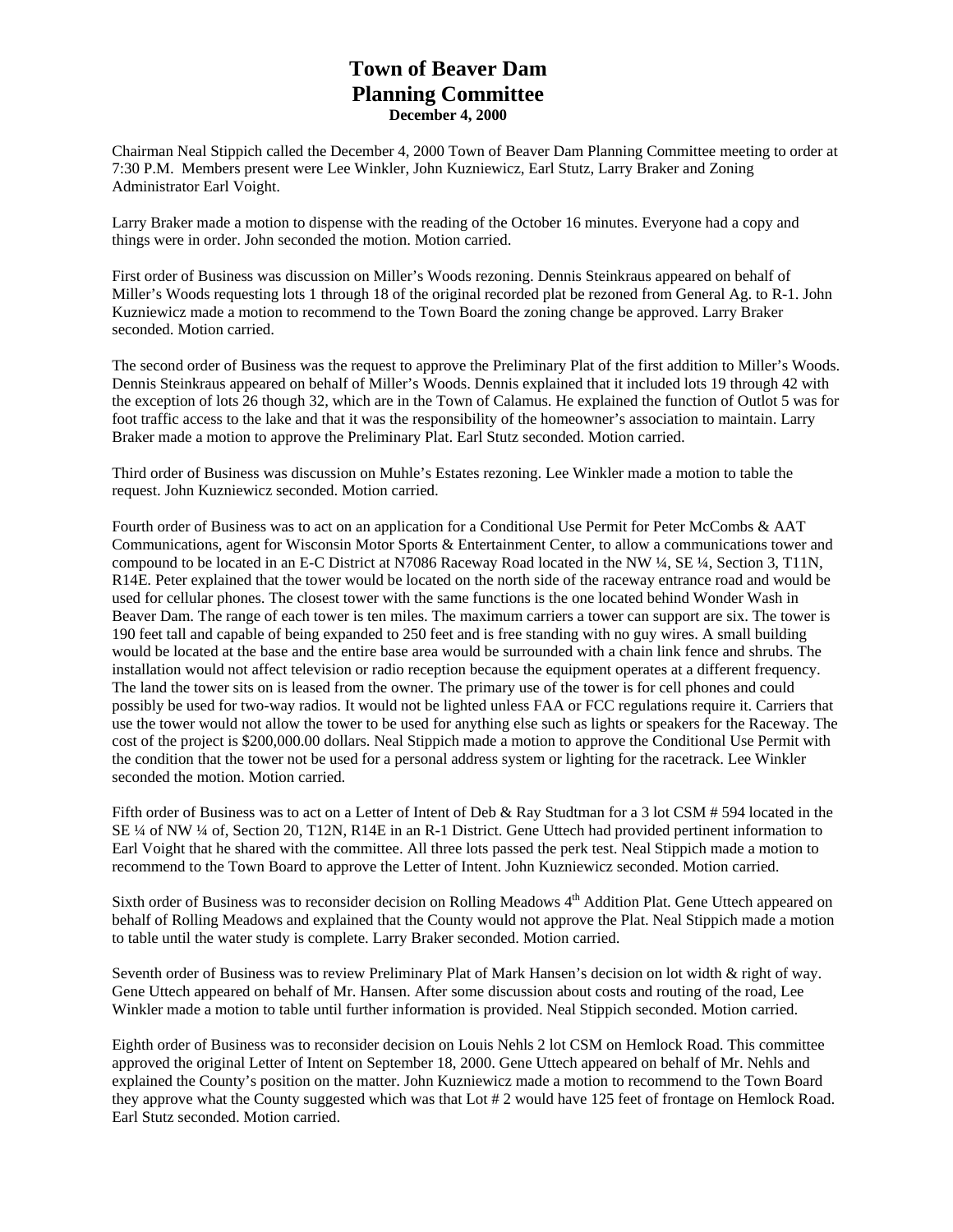### **Town of Beaver Dam Planning Committee December 4, 2000**

Chairman Neal Stippich called the December 4, 2000 Town of Beaver Dam Planning Committee meeting to order at 7:30 P.M. Members present were Lee Winkler, John Kuzniewicz, Earl Stutz, Larry Braker and Zoning Administrator Earl Voight.

Larry Braker made a motion to dispense with the reading of the October 16 minutes. Everyone had a copy and things were in order. John seconded the motion. Motion carried.

First order of Business was discussion on Miller's Woods rezoning. Dennis Steinkraus appeared on behalf of Miller's Woods requesting lots 1 through 18 of the original recorded plat be rezoned from General Ag. to R-1. John Kuzniewicz made a motion to recommend to the Town Board the zoning change be approved. Larry Braker seconded. Motion carried.

The second order of Business was the request to approve the Preliminary Plat of the first addition to Miller's Woods. Dennis Steinkraus appeared on behalf of Miller's Woods. Dennis explained that it included lots 19 through 42 with the exception of lots 26 though 32, which are in the Town of Calamus. He explained the function of Outlot 5 was for foot traffic access to the lake and that it was the responsibility of the homeowner's association to maintain. Larry Braker made a motion to approve the Preliminary Plat. Earl Stutz seconded. Motion carried.

Third order of Business was discussion on Muhle's Estates rezoning. Lee Winkler made a motion to table the request. John Kuzniewicz seconded. Motion carried.

Fourth order of Business was to act on an application for a Conditional Use Permit for Peter McCombs & AAT Communications, agent for Wisconsin Motor Sports & Entertainment Center, to allow a communications tower and compound to be located in an E-C District at N7086 Raceway Road located in the NW ¼, SE ¼, Section 3, T11N, R14E. Peter explained that the tower would be located on the north side of the raceway entrance road and would be used for cellular phones. The closest tower with the same functions is the one located behind Wonder Wash in Beaver Dam. The range of each tower is ten miles. The maximum carriers a tower can support are six. The tower is 190 feet tall and capable of being expanded to 250 feet and is free standing with no guy wires. A small building would be located at the base and the entire base area would be surrounded with a chain link fence and shrubs. The installation would not affect television or radio reception because the equipment operates at a different frequency. The land the tower sits on is leased from the owner. The primary use of the tower is for cell phones and could possibly be used for two-way radios. It would not be lighted unless FAA or FCC regulations require it. Carriers that use the tower would not allow the tower to be used for anything else such as lights or speakers for the Raceway. The cost of the project is \$200,000.00 dollars. Neal Stippich made a motion to approve the Conditional Use Permit with the condition that the tower not be used for a personal address system or lighting for the racetrack. Lee Winkler seconded the motion. Motion carried.

Fifth order of Business was to act on a Letter of Intent of Deb & Ray Studtman for a 3 lot CSM # 594 located in the SE ¼ of NW ¼ of, Section 20, T12N, R14E in an R-1 District. Gene Uttech had provided pertinent information to Earl Voight that he shared with the committee. All three lots passed the perk test. Neal Stippich made a motion to recommend to the Town Board to approve the Letter of Intent. John Kuzniewicz seconded. Motion carried.

Sixth order of Business was to reconsider decision on Rolling Meadows 4<sup>th</sup> Addition Plat. Gene Uttech appeared on behalf of Rolling Meadows and explained that the County would not approve the Plat. Neal Stippich made a motion to table until the water study is complete. Larry Braker seconded. Motion carried.

Seventh order of Business was to review Preliminary Plat of Mark Hansen's decision on lot width & right of way. Gene Uttech appeared on behalf of Mr. Hansen. After some discussion about costs and routing of the road, Lee Winkler made a motion to table until further information is provided. Neal Stippich seconded. Motion carried.

Eighth order of Business was to reconsider decision on Louis Nehls 2 lot CSM on Hemlock Road. This committee approved the original Letter of Intent on September 18, 2000. Gene Uttech appeared on behalf of Mr. Nehls and explained the County's position on the matter. John Kuzniewicz made a motion to recommend to the Town Board they approve what the County suggested which was that Lot # 2 would have 125 feet of frontage on Hemlock Road. Earl Stutz seconded. Motion carried.